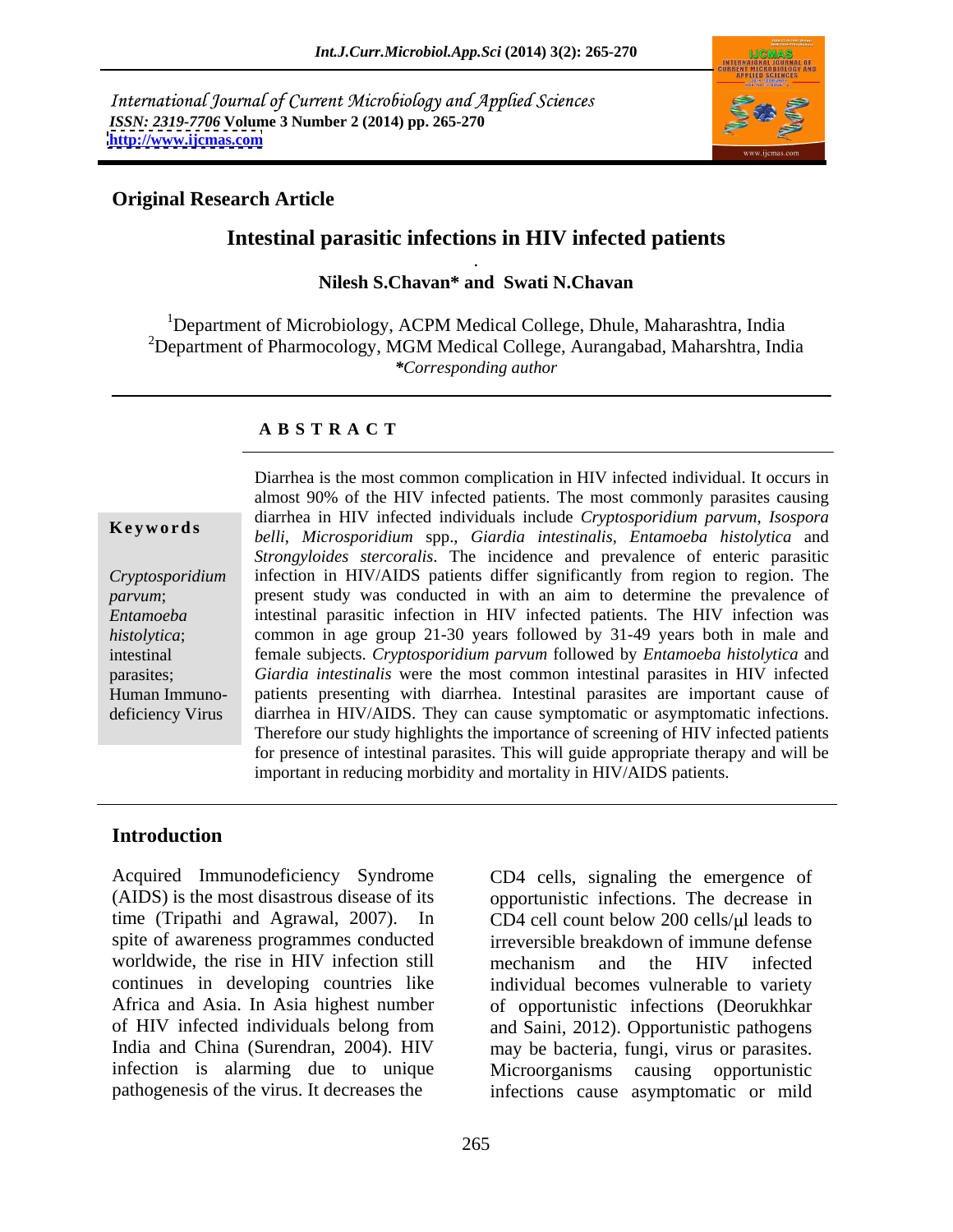International Journal of Current Microbiology and Applied Sciences *ISSN: 2319-7706* **Volume 3 Number 2 (2014) pp. 265-270 <http://www.ijcmas.com>**



. A construction of the construction of the construction of the construction of the construction of the construction of the construction of the construction of the construction of the construction of the construction of th

## **Original Research Article**

# **Intestinal parasitic infections in HIV infected patients**

### **Nilesh S.Chavan\* and Swati N.Chavan**

<sup>1</sup>Department of Microbiology, ACPM Medical College, Dhule, Maharashtra, India <sup>2</sup>Department of Pharmocology, MGM Medical College, Aurangabad, Maharshtra, India *\*Corresponding author*

#### **A B S T R A C T**

**Ke ywo rds** *belli*, *Microsporidium* spp., *Giardia intestinalis*, *Entamoeba histolytica* and *Cryptosporidium*  infection in HIV/AIDS patients differ significantly from region to region. The *parvum*; present study was conducted in with an aim to determine the prevalence of *Entamoeba*  intestinal parasitic infection in HIV infected patients. The HIV infection was histolytica; common in age group 21-30 years followed by 31-49 years both in male and intestinal female subjects. *Cryptosporidium parvum* followed by *Entamoeba histolytica* and parasites; *Giardia intestinalis* were the most common intestinal parasites in HIV infected Human Immuno- patients presenting with diarrhea. Intestinal parasites are important cause of deficiency Virus diarrhea in HIV/AIDS. They can cause symptomatic or asymptomatic infections. Diarrhea is the most common complication in HIV infected individual. It occurs in almost 90% of the HIV infected patients. The most commonly parasites causing diarrhea in HIV infected individuals include *Cryptosporidium parvum*, *Isospora Strongyloides stercoralis*. The incidence and prevalence of enteric parasitic Therefore our study highlights the importance of screening of HIV infected patients for presence of intestinal parasites. This will guide appropriate therapy and will be important in reducing morbidity and mortality in HIV/AIDS patients.

### **Introduction**

Acquired Immunodeficiency Syndrome CD4 cells, signaling the emergence of (AIDS) is the most disastrous disease of its opportunistic infections. The decrease in time (Tripathi and Agrawal, 2007). In CD4 cell count below 200 cells/ $\mu$ l leads to spite of awareness programmes conducted irreversible breakdown of immune defense worldwide, the rise in HIV infection still continues in developing countries like individual becomes vulnerable to variety Africa and Asia. In Asia highest number of opportunistic infections (Deorukhkar of HIV infected individuals belong from and Saini, 2012). Opportunistic pathogens India and China (Surendran, 2004). HIV may be bacteria, fungi, virus or parasites. infection is alarming due to unique Microorganisms causing opportunistic

pathogenesis of the virus. It decreases the infections cause asymptomatic or mild mechanism and the HIV infected Microorganisms causing opportunistic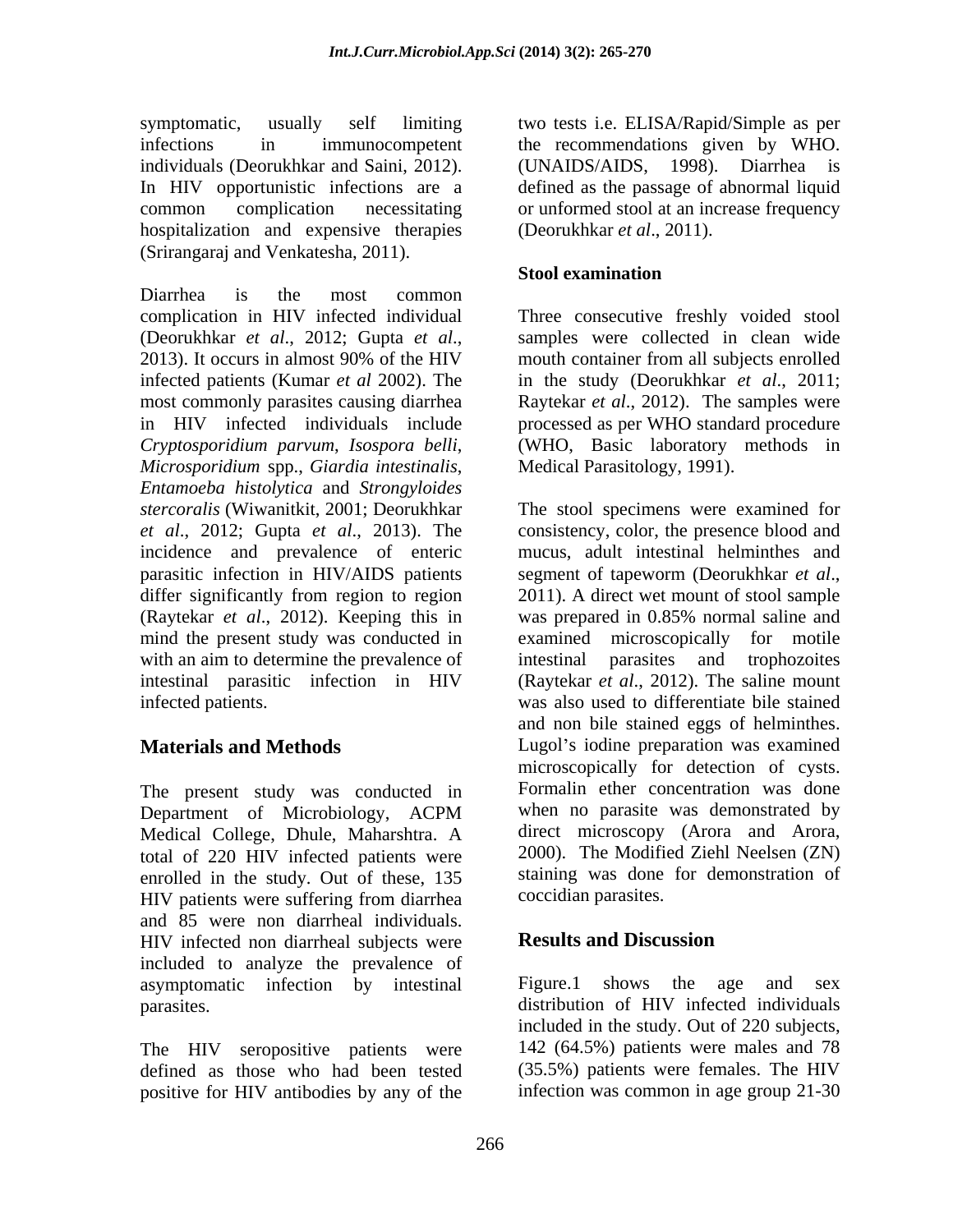symptomatic, usually self limiting two tests i.e. ELISA/Rapid/Simple as per infections in immunocompetent the recommendations given by WHO. individuals (Deorukhkar and Saini, 2012). (UNAIDS/AIDS, 1998). Diarrhea is In HIV opportunistic infections are a defined as the passage of abnormal liquid common complication necessitating or unformed stool at an increase frequency hospitalization and expensive therapies (Srirangaraj and Venkatesha, 2011).

Diarrhea is the most common complication in HIV infected individual Three consecutive freshly voided stool (Deorukhkar *et al.*, 2012; Gupta *et al.*, samples were collected in clean wide 2013). It occurs in almost 90% of the HIV mouth container from all subjects enrolled infected patients (Kumar *et al* 2002). The in the study (Deorukhkar *et al*., 2011; most commonly parasites causing diarrhea Raytekar *et al*., 2012). The samples were in HIV infected individuals include processed as per WHO standard procedure *Cryptosporidium parvum*, *Isospora belli*, (WHO, Basic laboratory methodsin *Microsporidium* spp., *Giardia intestinalis*, *Entamoeba histolytica* and *Strongyloides stercoralis* (Wiwanitkit, 2001; Deorukhkar The stool specimens were examined for *et al*., 2012; Gupta *et al*., 2013). The consistency, color, the presence blood and incidence and prevalence of enteric parasitic infection in HIV/AIDS patients segment of tapeworm (Deorukhkar et al., differ significantly from region to region 2011). A direct wet mount of stool sample (Raytekar *et al*., 2012). Keeping this in mind the present study was conducted in with an aim to determine the prevalence of intestinal parasites and trophozoites intestinal parasitic infection in HIV

The present study was conducted in Medical College, Dhule, Maharshtra. A total of 220 HIV infected patients were enrolled in the study. Out of these, 135 HIV patients were suffering from diarrhea and 85 were non diarrheal individuals. HIV infected non diarrheal subjects were **Results and Discussion** included to analyze the prevalence of asymptomatic infection by intestinal Figure.1 shows the age and sex

defined as those who had been tested positive for HIV antibodies by any of the

(UNAIDS/AIDS, 1998). Diarrhea is (Deorukhkar *et al*., 2011).

## **Stool examination**

samples were collected in clean wide mouth container from all subjects enrolled Medical Parasitology, 1991).

infected patients. was also used to differentiate bile stained **Materials and Methods Lugol's iodine preparation was examined** Department of Microbiology, ACPM mucus, adult intestinal helminthes and segment of tapeworm (Deorukhkar *et al*., 2011). <sup>A</sup> direct wet mount of stool sample was prepared in 0.85% normal saline and examined microscopically for motile intestinal parasites and trophozoites (Raytekar *et al*., 2012). The saline mount and non bile stained eggs of helminthes. microscopically for detection of cysts. Formalin ether concentration was done when no parasite was demonstrated by direct microscopy (Arora and Arora, 2000). The Modified Ziehl Neelsen (ZN) staining was done for demonstration of coccidian parasites.

# **Results and Discussion**

parasites. distribution of HIV infected individuals The HIV seropositive patients were 142 (64.5%) patients were males and 78 Figure.1 shows the age and sex included in the study. Out of 220 subjects, (35.5%) patients were females. The HIV infection was common in age group 21-30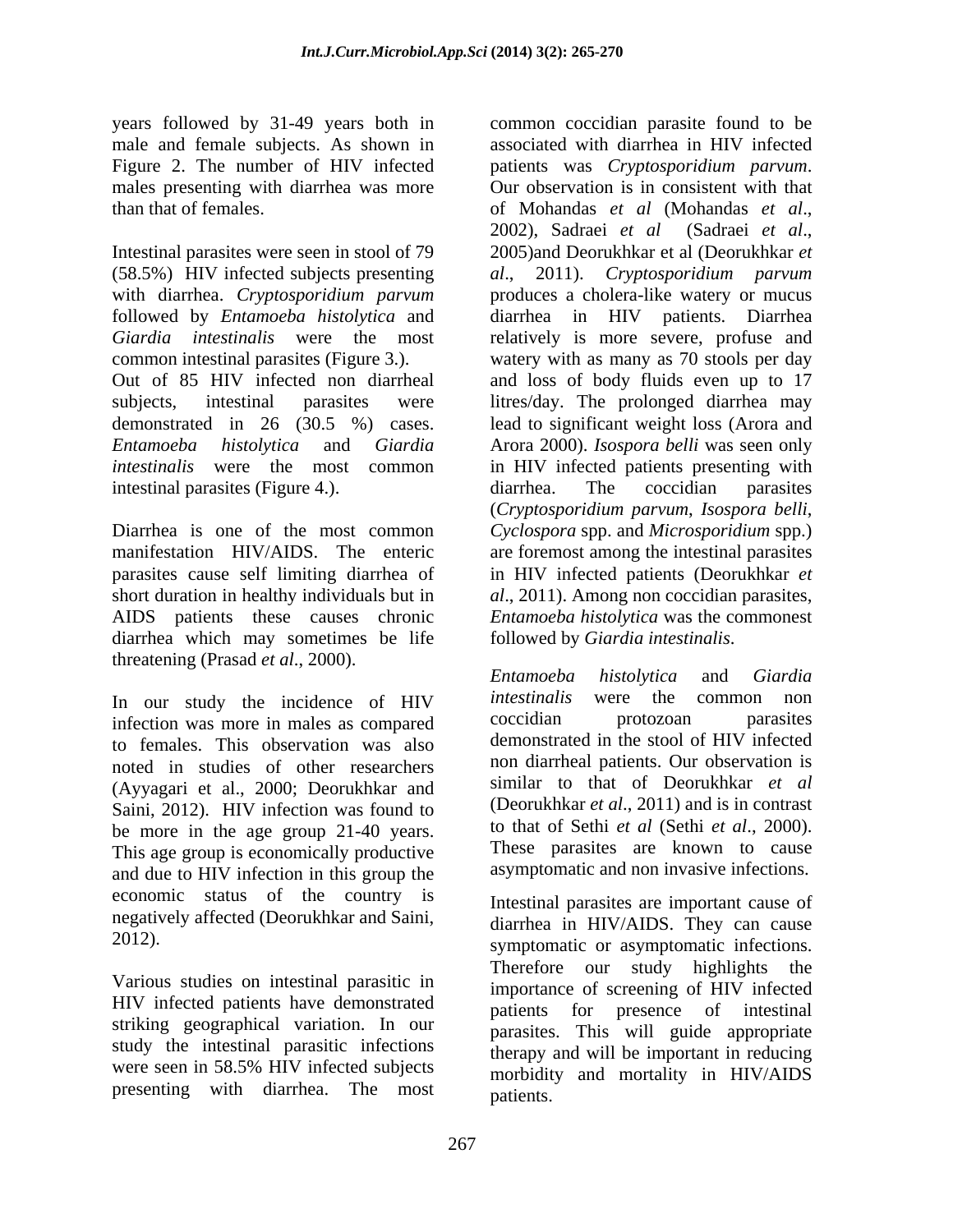years followed by 31-49 years both in Figure 2. The number of HIV infected patients was *Cryptosporidium parvum*. males presenting with diarrhea was more Our observation is in consistent with that than that of females. The of Mohandas et al. (Mohandas et al.,

Intestinal parasites were seen in stool of 79 2005) and Deorukhkar et al (Deorukhkar et (58.5%) HIV infected subjects presenting *al*., 2011). *Cryptosporidium parvum* with diarrhea. *Cryptosporidium parvum* produces a cholera-like watery or mucus followed by *Entamoeba histolytica* and diarrhea in HIV patients. Diarrhea *Giardia intestinalis* were the most relatively is more severe, profuse and common intestinal parasites (Figure 3.). watery with as many as 70 stools per day Out of 85 HIV infected non diarrheal and loss of body fluids even up to 17 subjects, intestinal parasites were litres/day. The prolonged diarrhea may demonstrated in 26 (30.5 %) cases. lead to significant weight loss (Arora and *Entamoeba histolytica* and *Giardia*  Arora 2000). *Isospora belli* was seen only *intestinalis* were the most common in HIV infected patients presenting with intestinal parasites (Figure 4.). diarrhea. The coccidian parasites

Diarrhea is one of the most common *Cyclospora* spp. and *Microsporidium* spp.) manifestation HIV/AIDS. The enteric are foremost among the intestinal parasites parasites cause self limiting diarrhea of in HIV infected patients (Deorukhkar *et*  short duration in healthy individuals but in *al*., 2011). Among non coccidian parasites, AIDS patients these causes chronic *Entamoeba histolytica* was the commonest diarrhea which may sometimes be life threatening (Prasad *et al.*, 2000).<br>
Entamoeba histolytica and Giardia

infection was more in males as compared to females. This observation was also noted in studies of other researchers (Ayyagari et al., 2000; Deorukhkar and Saini, 2012). HIV infection was found to be more in the age group 21-40 years. This age group is economically productive and due to HIV infection in this group the economic status of the country is negatively affected (Deorukhkar and Saini,

Various studies on intestinal parasitic in HIV infected patients have demonstrated striking geographical variation. In our study the intestinal parasitic infections presenting with diarrhea. The most

male and female subjects. As shown in associated with diarrhea in HIV infected common coccidian parasite found to be patients was *Cryptosporidium parvum*.<br>Our observation is in consistent with that of Mohandas *et al* (Mohandas *et al*., 2002), Sadraei *et al* (Sadraei *et al*., 2005)and Deorukhkar et al (Deorukhkar *et*  diarrhea. The coccidian parasites (*Cryptosporidium parvum*, *Isospora belli*, followed by *Giardia intestinalis*.

In our study the incidence of HIV *intestinalis* were the common non infection was more in males as command coccidian protozoan parasites *Entamoeba histolytica* and *Giardia intestinalis* were the common non coccidian protozoan parasites demonstrated in the stool of HIV infected non diarrheal patients. Our observation is similar to that of Deorukhkar *et al* (Deorukhkar *et al*., 2011) and is in contrast to that of Sethi *et al* (Sethi *et al*., 2000). These parasites are known to cause asymptomatic and non invasive infections.

2012). symptomatic or asymptomatic infections. were seen in 58.5% HIV infected subjects morbidity and mortality in HIV/AIDS Intestinal parasites are important cause of diarrhea in HIV/AIDS. They can cause Therefore our study highlights the importance of screening of HIV infected patients for presence of intestinal parasites. This will guide appropriate therapy and will be important in reducing morbidity and mortality in HIV/AIDS patients.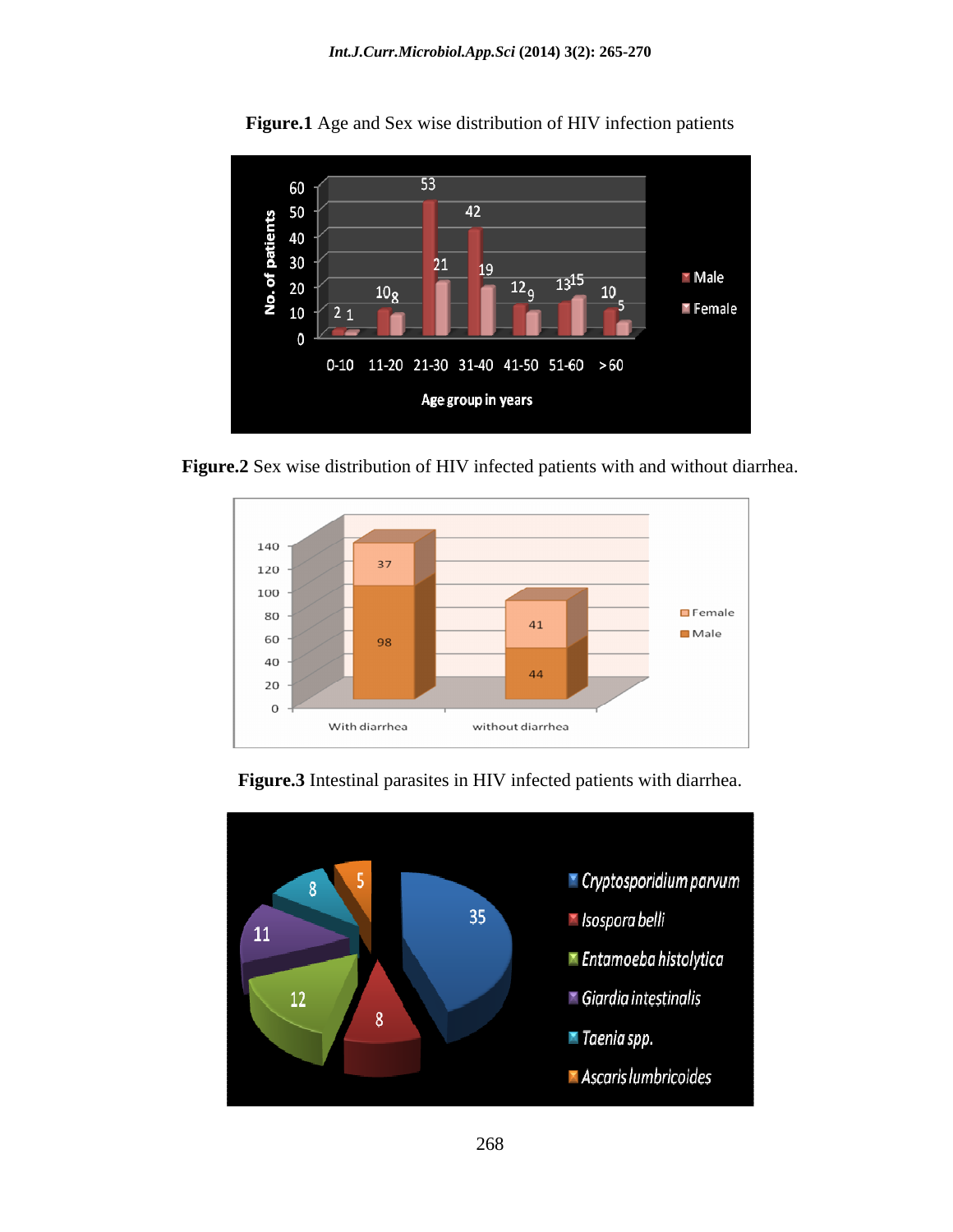

**Figure.1** Age and Sex wise distribution of HIV infection patients

**Figure.2** Sex wise distribution of HIV infected patients with and without diarrhea.





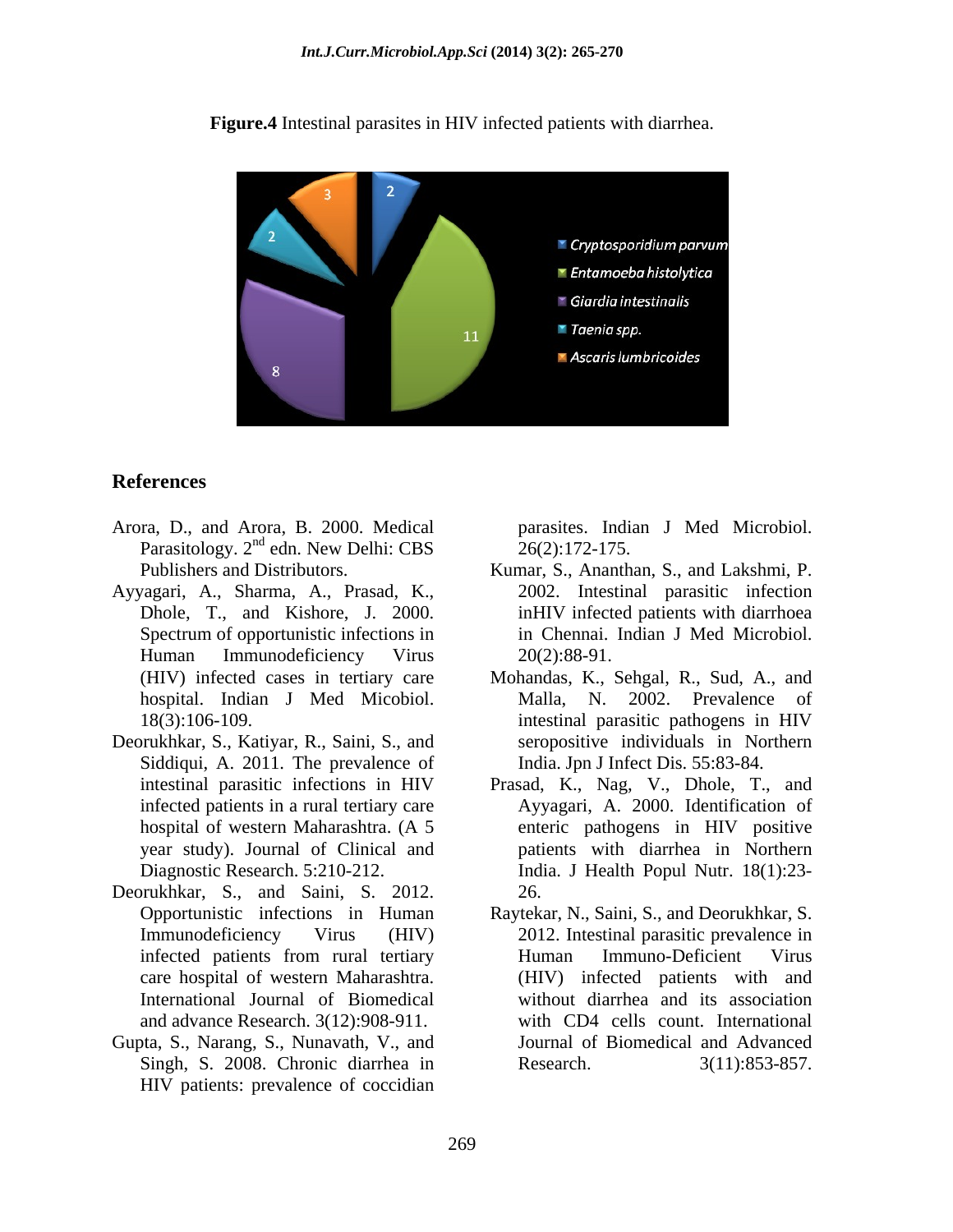

**Figure.4** Intestinal parasites in HIV infected patients with diarrhea.

# **References**

- Arora, D., and Arora, B. 2000. Medical Parasitology.  $2<sup>nd</sup>$  edn. New Delhi: CBS  $26(2):172-175$ .
- Ayyagari, A., Sharma, A., Prasad, K.,
- Deorukhkar, S., Katiyar, R., Saini, S., and Siddiqui, A. 2011. The prevalence of year study). Journal of Clinical and
- Deorukhkar, S., and Saini, S. 2012. 26.<br>Opportunistic infections in Human Ravtek and advance Research. 3(12):908-911.
- Gupta, S., Narang, S., Nunavath, V., and Singh, S. 2008. Chronic diarrhea in HIV patients: prevalence of coccidian

edn. New Delhi: CBS 26(2):172-175. parasites. Indian J Med Microbiol. 26(2):172-175.

- Publishers and Distributors. Kumar, S., Ananthan, S., and Lakshmi, P. Dhole, T., and Kishore, J. 2000. inHIV infected patients with diarrhoea Spectrum of opportunistic infections in Theorem in Chennai. Indian J Med Microbiol. Human Immunodeficiency Virus  $20(2):88-91$ . 2002. Intestinal parasitic infection in Chennai. Indian J Med Microbiol. 20(2):88-91.
- (HIV) infected cases in tertiary care Mohandas, K., Sehgal, R., Sud, A., and hospital. Indian J Med Micobiol. 18(3):106-109. intestinal parasitic pathogens in HIV Malla, N. 2002. Prevalence of seropositive individuals in Northern India. Jpn J Infect Dis. 55:83-84.
- intestinal parasitic infections in HIV Prasad, K., Nag, V., Dhole, T., and infected patients in a rural tertiary care Ayyagari, A. 2000. Identification of hospital of western Maharashtra. (A 5 and the enteric pathogens in HIV positive Diagnostic Research. 5:210-212. India. J Health Popul Nutr. 18(1):23 patients with diarrhea in Northern 26.
- Opportunistic infections in Human Raytekar, N., Saini, S., and Deorukhkar, S. Immunodeficiency Virus (HIV) 2012. Intestinal parasitic prevalence in infected patients from rural tertiary Human Immuno-Deficient Virus care hospital of western Maharashtra. (HIV) infected patients with and International Journal of Biomedical without diarrhea and its association Human Immuno-Deficient Virus with CD4 cells count. International Journal of Biomedical and Advanced  $3(11):853-857.$